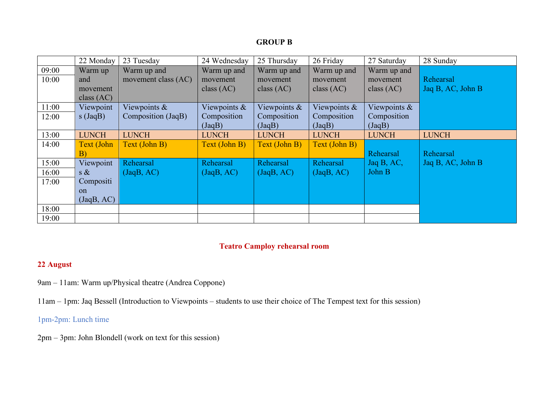# **GROUP B**

|       | 22 Monday         | 23 Tuesday          | 24 Wednesday     | 25 Thursday   | 26 Friday     | 27 Saturday  | 28 Sunday         |
|-------|-------------------|---------------------|------------------|---------------|---------------|--------------|-------------------|
| 09:00 | Warm up           | Warm up and         | Warm up and      | Warm up and   | Warm up and   | Warm up and  |                   |
| 10:00 | and               | movement class (AC) | movement         | movement      | movement      | movement     | Rehearsal         |
|       | movement          |                     | class $(AC)$     | class $(AC)$  | class $(AC)$  | class $(AC)$ | Jaq B, AC, John B |
|       | class $(AC)$      |                     |                  |               |               |              |                   |
| 11:00 | Viewpoint         | Viewpoints $\&$     | Viewpoints &     | Viewpoints &  | Viewpoints &  | Viewpoints & |                   |
| 12:00 | $s$ (JaqB)        | Composition (JaqB)  | Composition      | Composition   | Composition   | Composition  |                   |
|       |                   |                     | (JaqB)           | (JaqB)        | (JaqB)        | (JaqB)       |                   |
| 13:00 | <b>LUNCH</b>      | <b>LUNCH</b>        | <b>LUNCH</b>     | <b>LUNCH</b>  | <b>LUNCH</b>  | <b>LUNCH</b> | <b>LUNCH</b>      |
| 14:00 | <b>Text (John</b> | Text (John B)       | Text (John B)    | Text (John B) | Text (John B) |              |                   |
|       | B)                |                     |                  |               |               | Rehearsal    | Rehearsal         |
| 15:00 | Viewpoint         | <b>Rehearsal</b>    | <b>Rehearsal</b> | Rehearsal     | Rehearsal     | Jaq B, AC,   | Jaq B, AC, John B |
| 16:00 | $s \&$            | (JaqB, AC)          | (JaqB, AC)       | (JaqB, AC)    | (JaqB, AC)    | John B       |                   |
| 17:00 | Compositi         |                     |                  |               |               |              |                   |
|       | $\alpha$          |                     |                  |               |               |              |                   |
|       | (JaqB, AC)        |                     |                  |               |               |              |                   |
| 18:00 |                   |                     |                  |               |               |              |                   |
| 19:00 |                   |                     |                  |               |               |              |                   |

# **Teatro Camploy rehearsal room**

# **22 August**

9am – 11am: Warm up/Physical theatre (Andrea Coppone)

11am – 1pm: Jaq Bessell (Introduction to Viewpoints – students to use their choice of The Tempest text for this session)

1pm-2pm: Lunch time

2pm – 3pm: John Blondell (work on text for this session)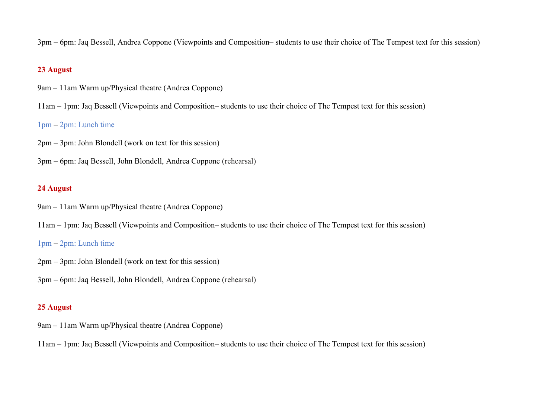3pm – 6pm: Jaq Bessell, Andrea Coppone (Viewpoints and Composition– students to use their choice of The Tempest text for this session)

# **23 August**

- 9am 11am Warm up/Physical theatre (Andrea Coppone)
- 11am 1pm: Jaq Bessell (Viewpoints and Composition– students to use their choice of The Tempest text for this session)

## 1pm – 2pm: Lunch time

- 2pm 3pm: John Blondell (work on text for this session)
- 3pm 6pm: Jaq Bessell, John Blondell, Andrea Coppone (rehearsal)

### **24 August**

- 9am 11am Warm up/Physical theatre (Andrea Coppone)
- 11am 1pm: Jaq Bessell (Viewpoints and Composition– students to use their choice of The Tempest text for this session)

#### 1pm – 2pm: Lunch time

- 2pm 3pm: John Blondell (work on text for this session)
- 3pm 6pm: Jaq Bessell, John Blondell, Andrea Coppone (rehearsal)

### **25 August**

- 9am 11am Warm up/Physical theatre (Andrea Coppone)
- 11am 1pm: Jaq Bessell (Viewpoints and Composition– students to use their choice of The Tempest text for this session)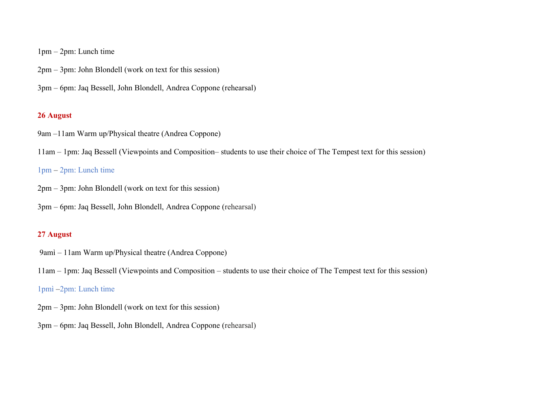1pm – 2pm: Lunch time

- 2pm 3pm: John Blondell (work on text for this session)
- 3pm 6pm: Jaq Bessell, John Blondell, Andrea Coppone (rehearsal)

# **26 August**

9am –11am Warm up/Physical theatre (Andrea Coppone)

11am – 1pm: Jaq Bessell (Viewpoints and Composition– students to use their choice of The Tempest text for this session)

## 1pm – 2pm: Lunch time

2pm – 3pm: John Blondell (work on text for this session)

3pm – 6pm: Jaq Bessell, John Blondell, Andrea Coppone (rehearsal)

## **27 August**

9amì – 11am Warm up/Physical theatre (Andrea Coppone)

11am – 1pm: Jaq Bessell (Viewpoints and Composition – students to use their choice of The Tempest text for this session)

# 1pmì –2pm: Lunch time

2pm – 3pm: John Blondell (work on text for this session)

3pm – 6pm: Jaq Bessell, John Blondell, Andrea Coppone (rehearsal)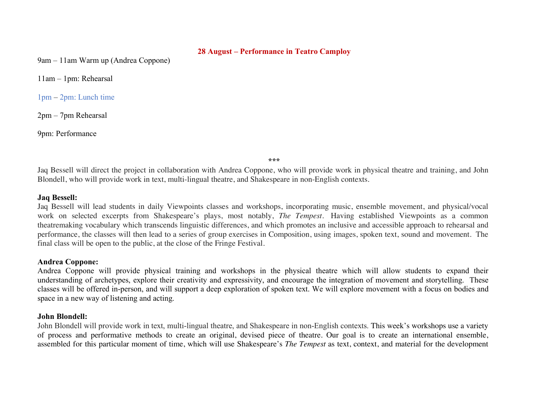#### **28 August – Performance in Teatro Camploy**

9am – 11am Warm up (Andrea Coppone)

11am – 1pm: Rehearsal

1pm – 2pm: Lunch time

2pm – 7pm Rehearsal

9pm: Performance

**\*\*\***

Jaq Bessell will direct the project in collaboration with Andrea Coppone, who will provide work in physical theatre and training, and John Blondell, who will provide work in text, multi-lingual theatre, and Shakespeare in non-English contexts.

#### **Jaq Bessell:**

Jaq Bessell will lead students in daily Viewpoints classes and workshops, incorporating music, ensemble movement, and physical/vocal work on selected excerpts from Shakespeare's plays, most notably, *The Tempest.* Having established Viewpoints as a common theatremaking vocabulary which transcends linguistic differences, and which promotes an inclusive and accessible approach to rehearsal and performance, the classes will then lead to a series of group exercises in Composition, using images, spoken text, sound and movement. The final class will be open to the public, at the close of the Fringe Festival.

#### **Andrea Coppone:**

Andrea Coppone will provide physical training and workshops in the physical theatre which will allow students to expand their understanding of archetypes, explore their creativity and expressivity, and encourage the integration of movement and storytelling. These classes will be offered in-person, and will support a deep exploration of spoken text. We will explore movement with a focus on bodies and space in a new way of listening and acting.

### **John Blondell:**

John Blondell will provide work in text, multi-lingual theatre, and Shakespeare in non-English contexts. This week's workshops use a variety of process and performative methods to create an original, devised piece of theatre. Our goal is to create an international ensemble, assembled for this particular moment of time, which will use Shakespeare's *The Tempest* as text, context, and material for the development